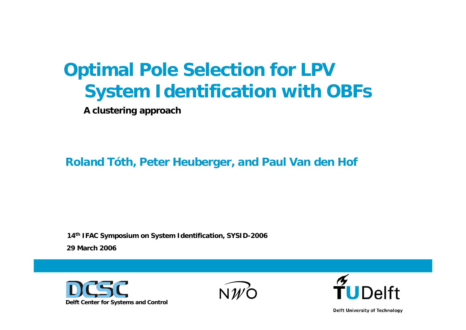### **Optimal Pole Selection for LPV System Identification with OBFs**

**A clustering approach**

**Roland Tóth, Peter Heuberger, and Paul Van den Hof**

**29 March 200614th IFAC Symposium on System Identification, SYSID-2006** 







**Delft University of Technology**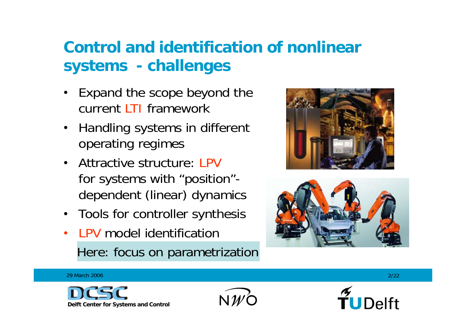#### **Control and identification of nonlinear systems - challenges**

- $\bullet$  Expand the scope beyond the current LTI framework
- Handling systems in different operating regimes
- Attractive structure: LPV for systems with "position" dependent (linear) dynamics
- Tools for controller synthesis
- •• LPV model identification Here: focus on parametrization





29 March 2006







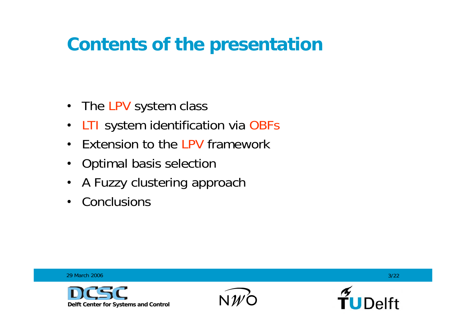### **Contents of the presentation**

- The LPV system class
- LTI system identification via OBFs
- $\bullet$ Extension to the LPV framework
- Optimal basis selection
- •A Fuzzy clustering approach
- $\bullet$ **Conclusions**

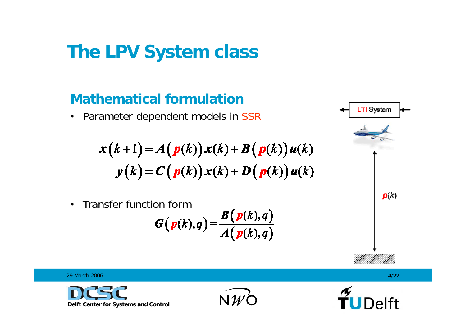### **The LPV System class**

#### **Mathematical formulation**

• Parameter dependent models in SSR

$$
x(k+1) = A(p(k))x(k) + B(p(k))u(k)
$$
  

$$
y(k) = C(p(k))x(k) + D(p(k))u(k)
$$

• Transfer function form

$$
G(p(k),q) = \frac{B(p(k),q)}{A(p(k),q)}
$$





29 March 2006

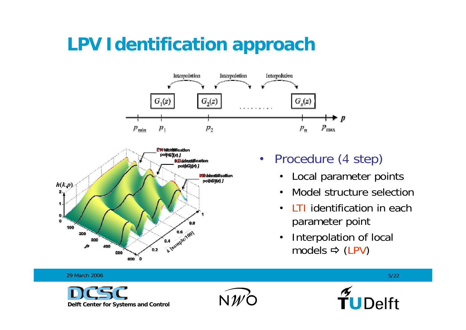# **LPV Identification approach**





#### • Procedure (<sup>4</sup> step)

- $\bullet$ Local parameter points
- •Model structure selection
- $\bullet$ • LTI identification in each parameter point
- $\bullet$  Interpolation of local models (LPV)

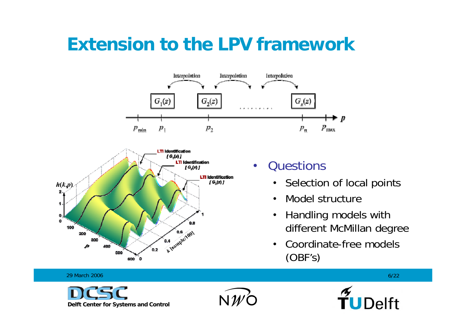#### **Extension to the LPV framework**





#### •**Questions**

- Selection of local points
- •Model structure
- $\bullet$  Handling models with different McMillan degree
- • Coordinate-free models(OBF's)

29 March 20066/22  $\pm$  6/22 TUDelft  $N$   $\mathcal U$ **Delft Center for Systems and Control**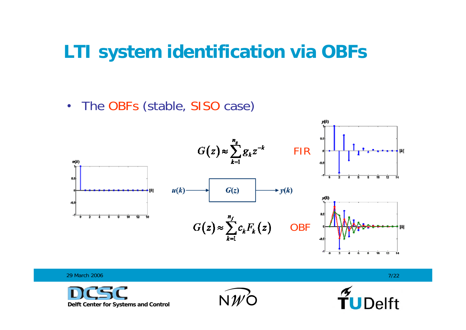#### **LTI system identification via OBFs**

•• The OBFs (stable, SISO case)



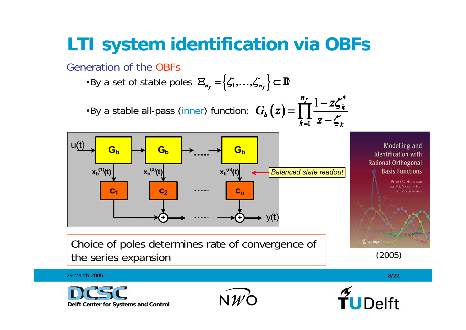## **LTI system identification via OBFs**

Generation of the OBFs

•By a set of stable poles  $\mathbf{E}_{n_r} = \{ \zeta_1, ..., \zeta_{n_r} \} \subset \mathbb{D}$ •By a stable all-pass (inner) function:  $G_b(z) = \prod_{k=1}^{n_f} \frac{1 - z \zeta_k^*}{z - \zeta_k}$ 



Choice of poles determines rate of convergence of the series expansion (2005)

Modelling and **Identification with Rational Orthogonal Basis Functions** PETER S.C. HEUBERGER ALL M.I. VAN DEN HOL **RO WALLIEDE JEAN** 

2 Springer

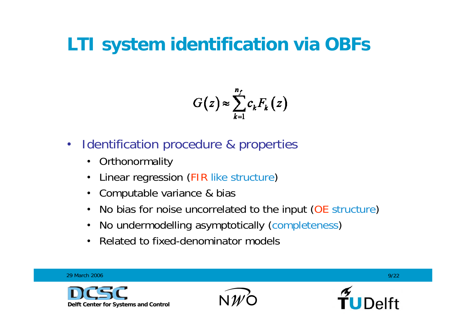## **LTI system identification via OBFs**

$$
G(z) \approx \sum_{k=1}^{n_f} c_k F_k(z)
$$

- $\bullet$  Identification procedure & properties
	- $\bullet$ **Orthonormality**
	- •Linear regression (FIR like structure)
	- $\bullet$ Computable variance & bias
	- •No bias for noise uncorrelated to the input (OE structure)
	- •No undermodelling asymptotically (completeness)
	- •Related to fixed-denominator models

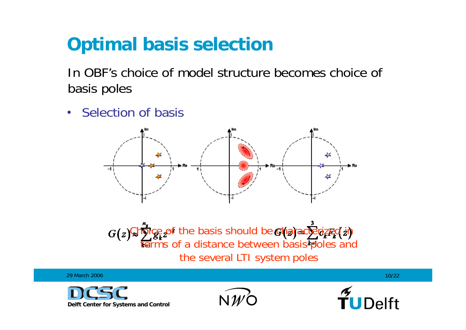In OBF's choice of model structure becomes choice ofbasis poles

• Selection of basis



Choice of the basis should be characterized in **terms of a distance between basis poles and** the several LTI system poles

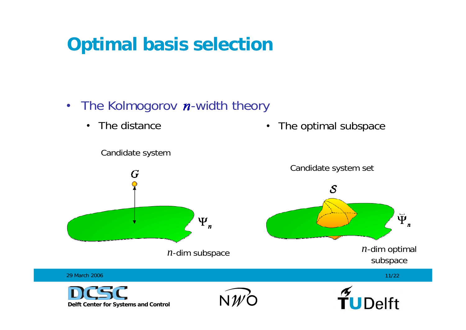- The Kolmogorov n-width theory
	- The distance

 $\bullet$ The optimal subspace

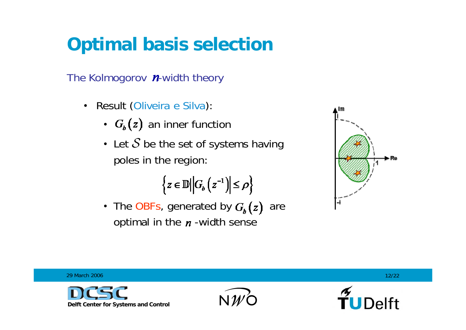The Kolmogorov  $n$ -width theory

- Result (Oliveira e Silva):
	- $G_{\kappa}(z)$  an inner function
	- Let  $S$  be the set of systems having poles in the region:

$$
\left\{z\in\mathbb{D}\middle|\middle|G_{b}\left(z^{-1}\right)\middle|\le\rho\right\}
$$

• The OBFs, generated by  $G_{\kappa}(z)$  are optimal in the  $n$ -width sense



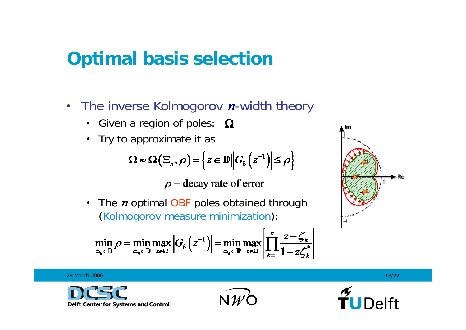- The inverse Kolmogorov n-width theory
	- Given a region of poles:
	- Try to approximate it as

$$
\Omega \approx \Omega\left(\Xi_n, \rho\right) = \left\{z \in \mathbb{D} \middle\vert \left|G_b\left(z^{-1}\right)\right| \leq \rho\right\}
$$

 $\rho$  = decay rate of error

•The  *optimal OBF poles obtained through* (Kolmogorov measure minimization):

$$
\min_{\Xi_n \subset \mathbb{D}} \rho = \min_{\Xi_n \subset \mathbb{D}} \max_{z \in \Omega} \left| G_b \left( z^{-1} \right) \right| = \min_{\Xi_n \subset \mathbb{D}} \max_{z \in \Omega} \left| \prod_{k=1}^n \frac{z - \zeta_k}{1 - z \zeta_k^*} \right|
$$



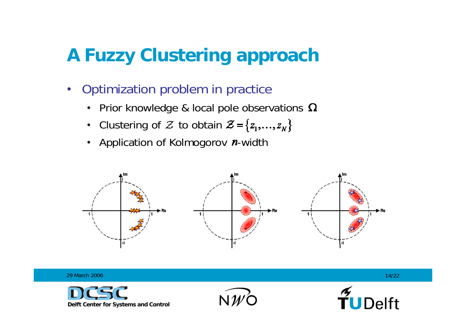- Optimization problem in practice
	- Prior knowledge & local pole observations
	- Clustering of  $\mathcal Z$  to obtain
	- Application of Kolmogorov *n*-width



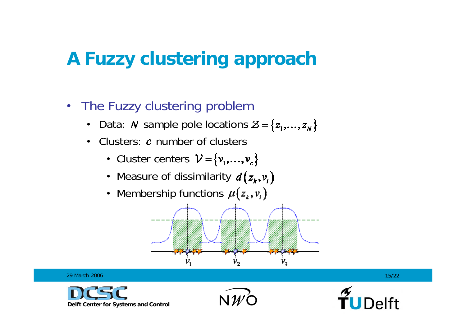- The Fuzzy clustering problem
	- •Data: N sample pole locations  $\mathcal{Z} = \{z_1, ..., z_N\}$
	- •• Clusters:  $c$  number of clusters
		- Cluster centers
		- Measure of dissimilarity
		- Membership functions



29 March 2006







6 and  $15/22$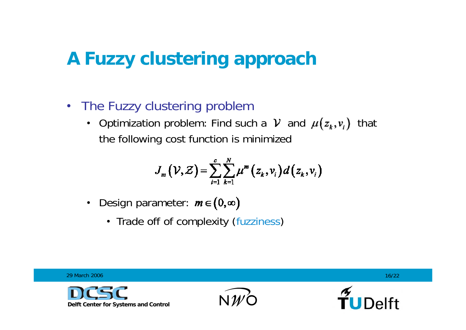#### • The Fuzzy clustering problem

• Optimization problem: Find such a V and  $\mu(z_k, v_i)$  that the following cost function is minimized

$$
J_m(\mathcal{V},\mathcal{Z})=\sum_{i=1}^c\sum_{k=1}^N\mu^m(z_k,v_i)d(z_k,v_i)
$$

- Design parameter:
	- Trade off of complexity (fuzziness)

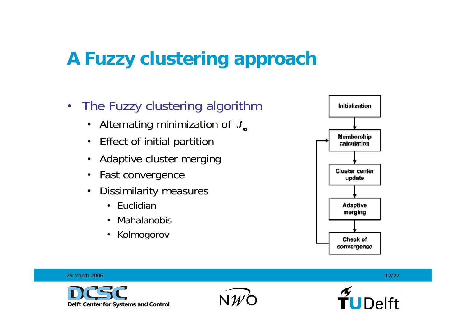- The Fuzzy clustering algorithm
	- $\bullet$ Alternating minimization of  $J_m$
	- $\bullet$ Effect of initial partition
	- $\bullet$ Adaptive cluster merging
	- $\bullet$ Fast convergence
	- • Dissimilarity measures
		- Euclidian
		- Mahalanobis
		- $\bullet$ Kolmogorov



29 March 2006









6 and  $17/22$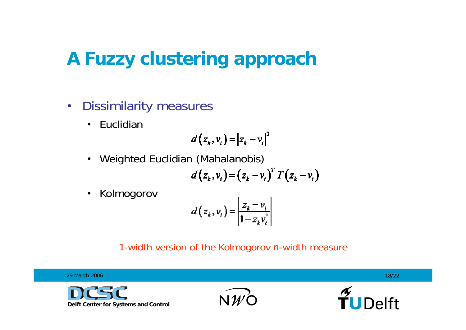- $\bullet$  Dissimilarity measures
	- $\bullet$ • Euclidian

$$
d(z_k, v_i) = |z_k - v_i|^2
$$

 $\bullet$ Weighted Euclidian (Mahalanobis)

$$
d(z_k, v_i) = (z_k - v_i)^T T(z_k - v_i)
$$

 $\bullet$ Kolmogorov

$$
d(z_k, v_i) = \left| \frac{z_k - v_i}{1 - z_k v_i^*} \right|
$$

#### 1-width version of the Kolmogorov *n*-width measure

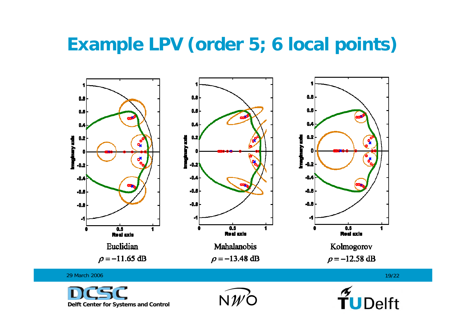#### **Example LPV (order 5; 6 local points)**





 $NW$ Ó

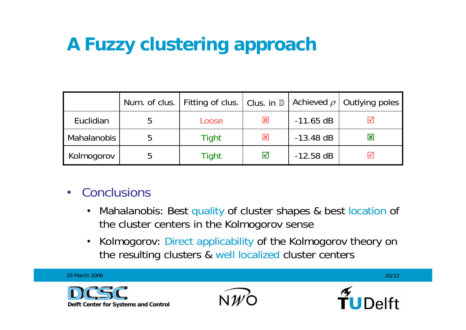|                    | Num. of clus.   Fitting of clus.   Clus. in D |                      |             | Achieved $\rho$   Outlying poles |
|--------------------|-----------------------------------------------|----------------------|-------------|----------------------------------|
| Euclidian          | Loose                                         | 図                    | $-11.65$ dB |                                  |
| <b>Mahalanobis</b> | Tight                                         | $\mathbf{x}$         | $-13.48$ dB | $\overline{\mathbf{x}}$          |
| Kolmogorov         | Tight                                         | $\blacktriangledown$ | $-12.58$ dB |                                  |

- Conclusions
	- $\bullet$  Mahalanobis: Best quality of cluster shapes & best location of the cluster centers in the Kolmogorov sense
	- $\bullet$  Kolmogorov: Direct applicability of the Kolmogorov theory on the resulting clusters & well localized cluster centers